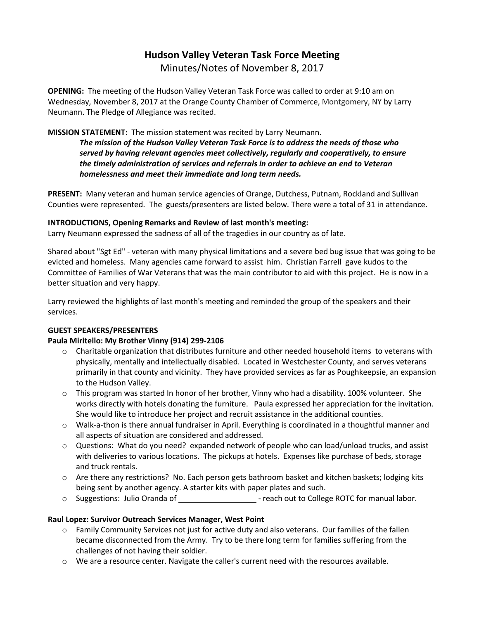# **Hudson Valley Veteran Task Force Meeting**  Minutes/Notes of November 8, 2017

**OPENING:** The meeting of the Hudson Valley Veteran Task Force was called to order at 9:10 am on Wednesday, November 8, 2017 at the Orange County Chamber of Commerce, Montgomery, NY by Larry Neumann. The Pledge of Allegiance was recited.

### **MISSION STATEMENT:** The mission statement was recited by Larry Neumann.

*The mission of the Hudson Valley Veteran Task Force is to address the needs of those who served by having relevant agencies meet collectively, regularly and cooperatively, to ensure the timely administration of services and referrals in order to achieve an end to Veteran homelessness and meet their immediate and long term needs.* 

**PRESENT:** Many veteran and human service agencies of Orange, Dutchess, Putnam, Rockland and Sullivan Counties were represented. The guests/presenters are listed below. There were a total of 31 in attendance.

#### **INTRODUCTIONS, Opening Remarks and Review of last month's meeting:**

Larry Neumann expressed the sadness of all of the tragedies in our country as of late.

Shared about "Sgt Ed" - veteran with many physical limitations and a severe bed bug issue that was going to be evicted and homeless. Many agencies came forward to assist him. Christian Farrell gave kudos to the Committee of Families of War Veterans that was the main contributor to aid with this project. He is now in a better situation and very happy.

Larry reviewed the highlights of last month's meeting and reminded the group of the speakers and their services.

#### **GUEST SPEAKERS/PRESENTERS**

## **Paula Miritello: My Brother Vinny (914) 299-2106**

- o Charitable organization that distributes furniture and other needed household items to veterans with physically, mentally and intellectually disabled. Located in Westchester County, and serves veterans primarily in that county and vicinity. They have provided services as far as Poughkeepsie, an expansion to the Hudson Valley.
- $\circ$  This program was started In honor of her brother, Vinny who had a disability. 100% volunteer. She works directly with hotels donating the furniture. Paula expressed her appreciation for the invitation. She would like to introduce her project and recruit assistance in the additional counties.
- o Walk-a-thon is there annual fundraiser in April. Everything is coordinated in a thoughtful manner and all aspects of situation are considered and addressed.
- o Questions: What do you need? expanded network of people who can load/unload trucks, and assist with deliveries to various locations. The pickups at hotels. Expenses like purchase of beds, storage and truck rentals.
- o Are there any restrictions? No. Each person gets bathroom basket and kitchen baskets; lodging kits being sent by another agency. A starter kits with paper plates and such.
- o Suggestions: Julio Oranda of  $\Box$  reach out to College ROTC for manual labor.

## **Raul Lopez: Survivor Outreach Services Manager, West Point**

- $\circ$  Family Community Services not just for active duty and also veterans. Our families of the fallen became disconnected from the Army. Try to be there long term for families suffering from the challenges of not having their soldier.
- o We are a resource center. Navigate the caller's current need with the resources available.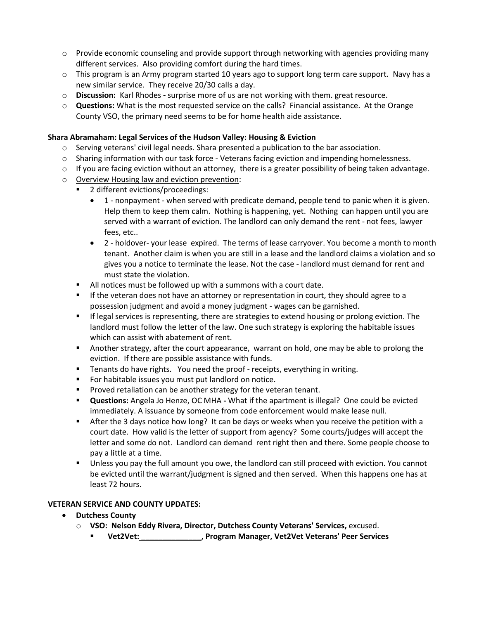- $\circ$  Provide economic counseling and provide support through networking with agencies providing many different services. Also providing comfort during the hard times.
- $\circ$  This program is an Army program started 10 years ago to support long term care support. Navy has a new similar service. They receive 20/30 calls a day.
- o **Discussion:** Karl Rhodes **-** surprise more of us are not working with them. great resource.
- o **Questions:** What is the most requested service on the calls? Financial assistance. At the Orange County VSO, the primary need seems to be for home health aide assistance.

#### **Shara Abramaham: Legal Services of the Hudson Valley: Housing & Eviction**

- $\circ$  Serving veterans' civil legal needs. Shara presented a publication to the bar association.
- $\circ$  Sharing information with our task force Veterans facing eviction and impending homelessness.
- $\circ$  If you are facing eviction without an attorney, there is a greater possibility of being taken advantage.
- o Overview Housing law and eviction prevention:
	- 2 different evictions/proceedings:
		- 1 nonpayment when served with predicate demand, people tend to panic when it is given. Help them to keep them calm. Nothing is happening, yet. Nothing can happen until you are served with a warrant of eviction. The landlord can only demand the rent - not fees, lawyer fees, etc..
		- 2 holdover- your lease expired. The terms of lease carryover. You become a month to month tenant. Another claim is when you are still in a lease and the landlord claims a violation and so gives you a notice to terminate the lease. Not the case - landlord must demand for rent and must state the violation.
	- All notices must be followed up with a summons with a court date.
	- If the veteran does not have an attorney or representation in court, they should agree to a possession judgment and avoid a money judgment - wages can be garnished.
	- **■** If legal services is representing, there are strategies to extend housing or prolong eviction. The landlord must follow the letter of the law. One such strategy is exploring the habitable issues which can assist with abatement of rent.
	- Another strategy, after the court appearance, warrant on hold, one may be able to prolong the eviction. If there are possible assistance with funds.
	- Tenants do have rights. You need the proof receipts, everything in writing.
	- For habitable issues you must put landlord on notice.
	- Proved retaliation can be another strategy for the veteran tenant.
	- **Questions:** Angela Jo Henze, OC MHA **-** What if the apartment is illegal? One could be evicted immediately. A issuance by someone from code enforcement would make lease null.
	- **EXECT** After the 3 days notice how long? It can be days or weeks when you receive the petition with a court date. How valid is the letter of support from agency? Some courts/judges will accept the letter and some do not. Landlord can demand rent right then and there. Some people choose to pay a little at a time.
	- Unless you pay the full amount you owe, the landlord can still proceed with eviction. You cannot be evicted until the warrant/judgment is signed and then served. When this happens one has at least 72 hours.

#### **VETERAN SERVICE AND COUNTY UPDATES:**

- **Dutchess County**
	- o **VSO: Nelson Eddy Rivera, Director, Dutchess County Veterans' Services,** excused.
		- **Vet2Vet: \_\_\_\_\_\_\_\_\_\_\_\_\_\_, Program Manager, Vet2Vet Veterans' Peer Services**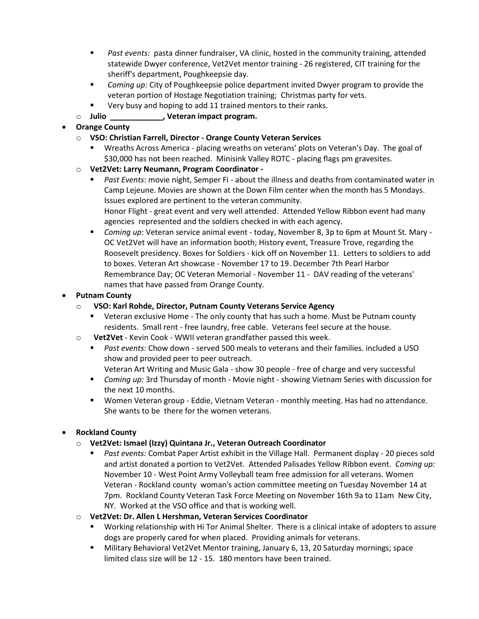- *Past events:* pasta dinner fundraiser, VA clinic, hosted in the community training, attended statewide Dwyer conference, Vet2Vet mentor training - 26 registered, CIT training for the sheriff's department, Poughkeepsie day.
- *Coming up:* City of Poughkeepsie police department invited Dwyer program to provide the veteran portion of Hostage Negotiation training; Christmas party for vets.
- Very busy and hoping to add 11 trained mentors to their ranks.
- o **Julio , Veteran impact program.**

## • **Orange County**

- o **VSO: Christian Farrell, Director - Orange County Veteran Services**
	- Wreaths Across America placing wreaths on veterans' plots on Veteran's Day. The goal of \$30,000 has not been reached. Minisink Valley ROTC - placing flags pm gravesites.
- o **Vet2Vet: Larry Neumann, Program Coordinator -**
	- *Past Events*: movie night, Semper Fi about the illness and deaths from contaminated water in Camp Lejeune. Movies are shown at the Down Film center when the month has 5 Mondays. Issues explored are pertinent to the veteran community.

Honor Flight - great event and very well attended. Attended Yellow Ribbon event had many agencies represented and the soldiers checked in with each agency.

▪ *Coming up*: Veteran service animal event - today, November 8, 3p to 6pm at Mount St. Mary - OC Vet2Vet will have an information booth; History event, Treasure Trove, regarding the Roosevelt presidency. Boxes for Soldiers - kick off on November 11. Letters to soldiers to add to boxes. Veteran Art showcase - November 17 to 19. December 7th Pearl Harbor Remembrance Day; OC Veteran Memorial - November 11 - DAV reading of the veterans' names that have passed from Orange County.

## • **Putnam County**

- o **VSO: Karl Rohde, Director, Putnam County Veterans Service Agency**
	- Veteran exclusive Home The only county that has such a home. Must be Putnam county residents. Small rent - free laundry, free cable. Veterans feel secure at the house.
- o **Vet2Vet** Kevin Cook WWII veteran grandfather passed this week.
	- *Past events:* Chow down served 500 meals to veterans and their families. included a USO show and provided peer to peer outreach.
		- Veteran Art Writing and Music Gala show 30 people free of charge and very successful
	- *Coming up:* 3rd Thursday of month Movie night showing Vietnam Series with discussion for the next 10 months.
	- Women Veteran group Eddie, Vietnam Veteran monthly meeting. Has had no attendance. She wants to be there for the women veterans.

## • **Rockland County**

- o **Vet2Vet: Ismael (Izzy) Quintana Jr., Veteran Outreach Coordinator**
	- *Past events:* Combat Paper Artist exhibit in the Village Hall. Permanent display 20 pieces sold and artist donated a portion to Vet2Vet. Attended Palisades Yellow Ribbon event. *Coming up:* November 10 - West Point Army Volleyball team free admission for all veterans. Women Veteran - Rockland county woman's action committee meeting on Tuesday November 14 at 7pm. Rockland County Veteran Task Force Meeting on November 16th 9a to 11am New City, NY. Worked at the VSO office and that is working well.
- o **Vet2Vet: Dr. Allen L Hershman, Veteran Services Coordinator**
	- Working relationship with Hi Tor Animal Shelter. There is a clinical intake of adopters to assure dogs are properly cared for when placed. Providing animals for veterans.
	- Military Behavioral Vet2Vet Mentor training, January 6, 13, 20 Saturday mornings; space limited class size will be 12 - 15. 180 mentors have been trained.